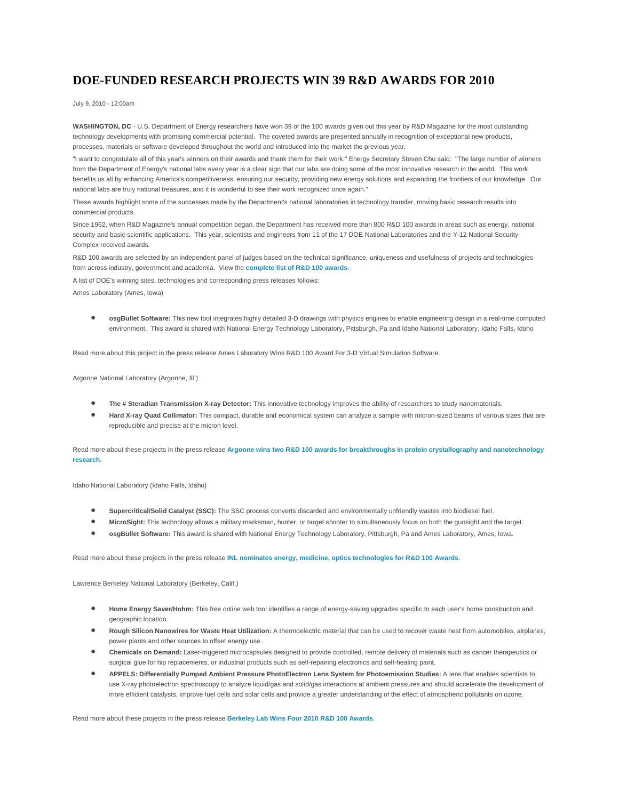## **DOE-FUNDED RESEARCH PROJECTS WIN 39 R&D AWARDS FOR 2010**

July 9, 2010 - 12:00am

**WASHINGTON, DC** - U.S. Department of Energy researchers have won 39 of the 100 awards given out this year by R&D Magazine for the most outstanding technology developments with promising commercial potential. The coveted awards are presented annually in recognition of exceptional new products, processes, materials or software developed throughout the world and introduced into the market the previous year.

"I want to congratulate all of this year's winners on their awards and thank them for their work," Energy Secretary Steven Chu said. "The large number of winners from the Department of Energy's national labs every year is a clear sign that our labs are doing some of the most innovative research in the world. This work benefits us all by enhancing America's competitiveness, ensuring our security, providing new energy solutions and expanding the frontiers of our knowledge. Our national labs are truly national treasures, and it is wonderful to see their work recognized once again."

These awards highlight some of the successes made by the Department's national laboratories in technology transfer, moving basic research results into commercial products.

Since 1962, when R&D Magazine's annual competition began, the Department has received more than 800 R&D 100 awards in areas such as energy, national security and basic scientific applications. This year, scientists and engineers from 11 of the 17 DOE National Laboratories and the Y-12 National Security Complex received awards.

R&D 100 awards are selected by an independent panel of judges based on the technical significance, uniqueness and usefulness of projects and technologies from across industry, government and academia. View the **[complete list of R&D 100 awards](http://energy.gov/exit?url=http%3A//www.rdmag.com/Awards/RD-100-Awards/R-D-100-Awards/)**.

A list of DOE's winning sites, technologies and corresponding press releases follows:

Ames Laboratory (Ames, Iowa)

• **osgBullet Software:** This new tool integrates highly detailed 3-D drawings with physics engines to enable engineering design in a real-time computed environment. This award is shared with National Energy Technology Laboratory, Pittsburgh, Pa and Idaho National Laboratory, Idaho Falls, Idaho

Read more about this project in the press release Ames Laboratory Wins R&D 100 Award For 3-D Virtual Simulation Software.

Argonne National Laboratory (Argonne, Ill.)

- **The # Steradian Transmission X-ray Detector:** This innovative technology improves the ability of researchers to study nanomaterials.
- **Hard X-ray Quad Collimator:** This compact, durable and economical system can analyze a sample with micron-sized beams of various sizes that are reproducible and precise at the micron level.

Read more about these projects in the press release **[Argonne wins two R&D 100 awards for breakthroughs in protein crystallography and nanotechnology](http://www.anl.gov/articles/argonne-cleans-contaminated-kansas-site-feeding-bacteria)  [research](http://www.anl.gov/articles/argonne-cleans-contaminated-kansas-site-feeding-bacteria)**.

Idaho National Laboratory (Idaho Falls, Idaho)

- **Supercritical/Solid Catalyst (SSC):** The SSC process converts discarded and environmentally unfriendly wastes into biodiesel fuel.
- **MicroSight:** This technology allows a military marksman, hunter, or target shooter to simultaneously focus on both the gunsight and the target.
- **osgBullet Software:** This award is shared with National Energy Technology Laboratory, Pittsburgh, Pa and Ames Laboratory, Ames, Iowa.

Read more about these projects in the press release **[INL nominates energy, medicine, optics technologies for R&D 100 Awards](https://inlportal.inl.gov/portal/server.pt?open=514&objID=1269&mode=2&featurestory=DA_551474)**.

Lawrence Berkeley National Laboratory (Berkeley, Calif.)

- **Home Energy Saver/Hohm:** This free online web tool identifies a range of energy-saving upgrades specific to each user's home construction and geographic location.
- **Rough Silicon Nanowires for Waste Heat Utilization:** A thermoelectric material that can be used to recover waste heat from automobiles, airplanes, power plants and other sources to offset energy use.
- **Chemicals on Demand:** Laser-triggered microcapsules designed to provide controlled, remote delivery of materials such as cancer therapeutics or surgical glue for hip replacements, or industrial products such as self-repairing electronics and self-healing paint.
- **APPELS: Differentially Pumped Ambient Pressure PhotoElectron Lens System for Photoemission Studies:** A lens that enables scientists to use X-ray photoelectron spectroscopy to analyze liquid/gas and solid/gas interactions at ambient pressures and should accelerate the development of more efficient catalysts, improve fuel cells and solar cells and provide a greater understanding of the effect of atmospheric pollutants on ozone.

Read more about these projects in the press release **[Berkeley Lab Wins Four 2010 R&D 100 Awards](http://newscenter.lbl.gov/news-releases/2010/07/08/berkeley-lab-wins-four-2010-rd-100-awards/)**.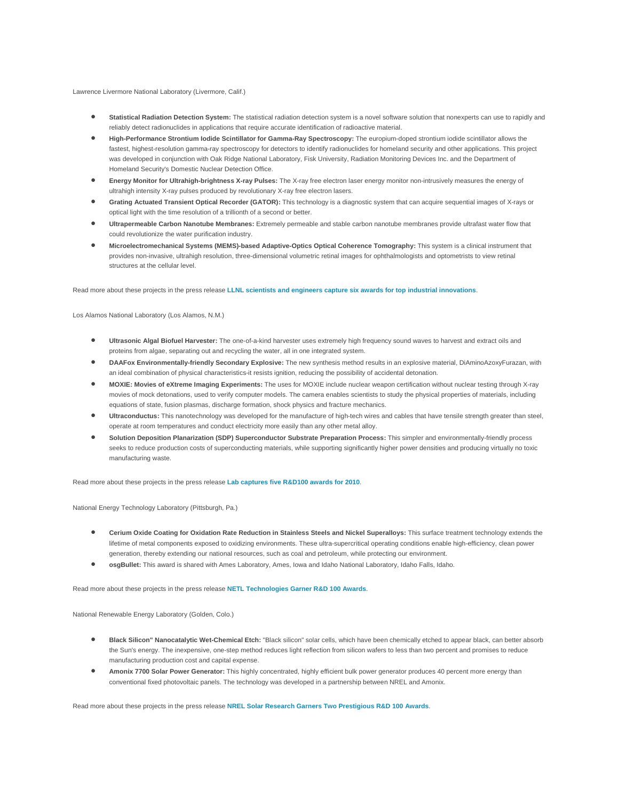Lawrence Livermore National Laboratory (Livermore, Calif.)

- **Statistical Radiation Detection System:** The statistical radiation detection system is a novel software solution that nonexperts can use to rapidly and reliably detect radionuclides in applications that require accurate identification of radioactive material.
- **High-Performance Strontium Iodide Scintillator for Gamma-Ray Spectroscopy:** The europium-doped strontium iodide scintillator allows the fastest, highest-resolution gamma-ray spectroscopy for detectors to identify radionuclides for homeland security and other applications. This project was developed in conjunction with Oak Ridge National Laboratory, Fisk University, Radiation Monitoring Devices Inc. and the Department of Homeland Security's Domestic Nuclear Detection Office.
- **Energy Monitor for Ultrahigh-brightness X-ray Pulses:** The X-ray free electron laser energy monitor non-intrusively measures the energy of ultrahigh intensity X-ray pulses produced by revolutionary X-ray free electron lasers.
- **Grating Actuated Transient Optical Recorder (GATOR):** This technology is a diagnostic system that can acquire sequential images of X-rays or optical light with the time resolution of a trillionth of a second or better.
- **Ultrapermeable Carbon Nanotube Membranes:** Extremely permeable and stable carbon nanotube membranes provide ultrafast water flow that could revolutionize the water purification industry.
- **Microelectromechanical Systems (MEMS)-based Adaptive-Optics Optical Coherence Tomography:** This system is a clinical instrument that provides non-invasive, ultrahigh resolution, three-dimensional volumetric retinal images for ophthalmologists and optometrists to view retinal structures at the cellular level.

Read more about these projects in the press release **[LLNL scientists and engineers capture six awards for top industrial innovations](https://publicaffairs.llnl.gov/news/news_releases/2010/NR-10-07-02.html)**.

Los Alamos National Laboratory (Los Alamos, N.M.)

- **Ultrasonic Algal Biofuel Harvester:** The one-of-a-kind harvester uses extremely high frequency sound waves to harvest and extract oils and proteins from algae, separating out and recycling the water, all in one integrated system.
- **DAAFox Environmentally-friendly Secondary Explosive:** The new synthesis method results in an explosive material, DiAminoAzoxyFurazan, with an ideal combination of physical characteristics-it resists ignition, reducing the possibility of accidental detonation.
- **MOXIE: Movies of eXtreme Imaging Experiments:** The uses for MOXIE include nuclear weapon certification without nuclear testing through X-ray movies of mock detonations, used to verify computer models. The camera enables scientists to study the physical properties of materials, including equations of state, fusion plasmas, discharge formation, shock physics and fracture mechanics.
- **Ultraconductus:** This nanotechnology was developed for the manufacture of high-tech wires and cables that have tensile strength greater than steel, operate at room temperatures and conduct electricity more easily than any other metal alloy.
- **Solution Deposition Planarization (SDP) Superconductor Substrate Preparation Process:** This simpler and environmentally-friendly process seeks to reduce production costs of superconducting materials, while supporting significantly higher power densities and producing virtually no toxic manufacturing waste.

Read more about these projects in the press release **[Lab captures five R&D100 awards for 2010](http://www.lanl.gov/news/releases/lab_captures_five_r_d_d100_awards_for_2010_newsrelease.html)**.

National Energy Technology Laboratory (Pittsburgh, Pa.)

- **Cerium Oxide Coating for Oxidation Rate Reduction in Stainless Steels and Nickel Superalloys:** This surface treatment technology extends the lifetime of metal components exposed to oxidizing environments. These ultra-supercritical operating conditions enable high-efficiency, clean power generation, thereby extending our national resources, such as coal and petroleum, while protecting our environment.
- **osgBullet:** This award is shared with Ames Laboratory, Ames, Iowa and Idaho National Laboratory, Idaho Falls, Idaho.

Read more about these projects in the press release **[NETL Technologies Garner R&D 100 Awards](http://www.netl.doe.gov/publications/press/2010/100708-NETL_Technologies_Garner_R&D_100_Awards.html)**.

National Renewable Energy Laboratory (Golden, Colo.)

- **Black Silicon" Nanocatalytic Wet-Chemical Etch:** "Black silicon" solar cells, which have been chemically etched to appear black, can better absorb the Sun's energy. The inexpensive, one-step method reduces light reflection from silicon wafers to less than two percent and promises to reduce manufacturing production cost and capital expense.
- **Amonix 7700 Solar Power Generator:** This highly concentrated, highly efficient bulk power generator produces 40 percent more energy than conventional fixed photovoltaic panels. The technology was developed in a partnership between NREL and Amonix.

Read more about these projects in the press release **[NREL Solar Research Garners Two Prestigious R&D 100 Awards](http://www.nrel.gov/news/press/2010/867.html)**.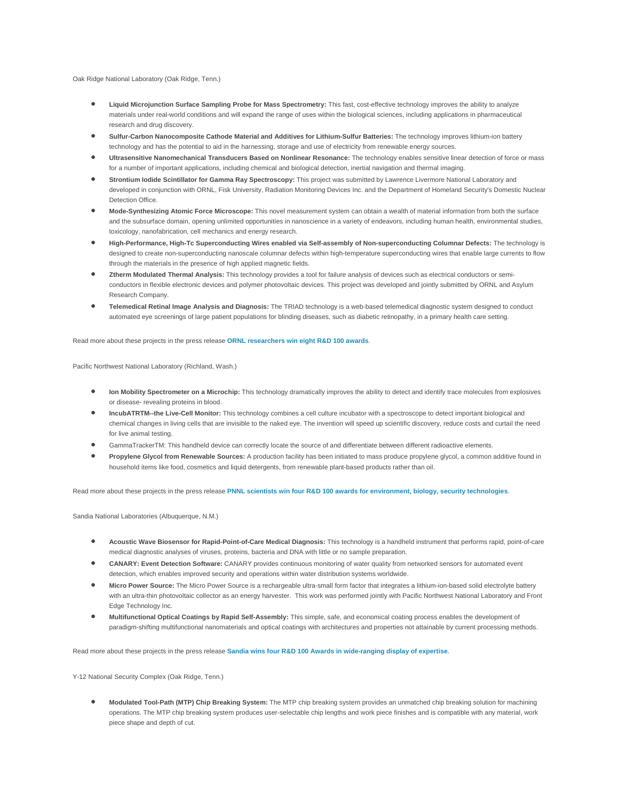Oak Ridge National Laboratory (Oak Ridge, Tenn.)

- **Liquid Microjunction Surface Sampling Probe for Mass Spectrometry:** This fast, cost-effective technology improves the ability to analyze materials under real-world conditions and will expand the range of uses within the biological sciences, including applications in pharmaceutical research and drug discovery.
- **Sulfur-Carbon Nanocomposite Cathode Material and Additives for Lithium-Sulfur Batteries:** The technology improves lithium-ion battery technology and has the potential to aid in the harnessing, storage and use of electricity from renewable energy sources.
- **Ultrasensitive Nanomechanical Transducers Based on Nonlinear Resonance:** The technology enables sensitive linear detection of force or mass for a number of important applications, including chemical and biological detection, inertial navigation and thermal imaging.
- **Strontium Iodide Scintillator for Gamma Ray Spectroscopy:** This project was submitted by Lawrence Livermore National Laboratory and developed in conjunction with ORNL, Fisk University, Radiation Monitoring Devices Inc. and the Department of Homeland Security's Domestic Nuclear Detection Office.
- **Mode-Synthesizing Atomic Force Microscope:** This novel measurement system can obtain a wealth of material information from both the surface and the subsurface domain, opening unlimited opportunities in nanoscience in a variety of endeavors, including human health, environmental studies, toxicology, nanofabrication, cell mechanics and energy research.
- **High-Performance, High-Tc Superconducting Wires enabled via Self-assembly of Non-superconducting Columnar Defects:** The technology is designed to create non-superconducting nanoscale columnar defects within high-temperature superconducting wires that enable large currents to flow through the materials in the presence of high applied magnetic fields.
- **Ztherm Modulated Thermal Analysis:** This technology provides a tool for failure analysis of devices such as electrical conductors or semiconductors in flexible electronic devices and polymer photovoltaic devices. This project was developed and jointly submitted by ORNL and Asylum Research Company.
- **Telemedical Retinal Image Analysis and Diagnosis:** The TRIAD technology is a web-based telemedical diagnostic system designed to conduct automated eye screenings of large patient populations for blinding diseases, such as diabetic retinopathy, in a primary health care setting.

Read more about these projects in the press release **[ORNL researchers win eight R&D 100 awards](http://www.ornl.gov/info/press_releases/get_press_release.cfm?ReleaseNumber=mr20100708-00)**.

Pacific Northwest National Laboratory (Richland, Wash.)

- **Ion Mobility Spectrometer on a Microchip:** This technology dramatically improves the ability to detect and identify trace molecules from explosives or disease- revealing proteins in blood.
- **IncubATRTM--the Live-Cell Monitor:** This technology combines a cell culture incubator with a spectroscope to detect important biological and chemical changes in living cells that are invisible to the naked eye. The invention will speed up scientific discovery, reduce costs and curtail the need for live animal testing.
- GammaTrackerTM: This handheld device can correctly locate the source of and differentiate between different radioactive elements.
- **Propylene Glycol from Renewable Sources:** A production facility has been initiated to mass produce propylene glycol, a common additive found in household items like food, cosmetics and liquid detergents, from renewable plant-based products rather than oil.

Read more about these projects in the press release **[PNNL scientists win four R&D 100 awards for environment, biology, security technologies](http://www.pnl.gov/news/release.aspx?id=805)**.

Sandia National Laboratories (Albuquerque, N.M.)

- **Acoustic Wave Biosensor for Rapid-Point-of-Care Medical Diagnosis:** This technology is a handheld instrument that performs rapid, point-of-care medical diagnostic analyses of viruses, proteins, bacteria and DNA with little or no sample preparation.
- **CANARY: Event Detection Software:** CANARY provides continuous monitoring of water quality from networked sensors for automated event detection, which enables improved security and operations within water distribution systems worldwide.
- **Micro Power Source:** The Micro Power Source is a rechargeable ultra-small form factor that integrates a lithium-ion-based solid electrolyte battery with an ultra-thin photovoltaic collector as an energy harvester. This work was performed jointly with Pacific Northwest National Laboratory and Front Edge Technology Inc.
- **Multifunctional Optical Coatings by Rapid Self-Assembly:** This simple, safe, and economical coating process enables the development of paradigm-shifting multifunctional nanomaterials and optical coatings with architectures and properties not attainable by current processing methods.

Read more about these projects in the press release **[Sandia wins four R&D 100 Awards in wide-ranging display of expertise](https://share.sandia.gov/news/resources/news_releases/rd100/)**.

Y-12 National Security Complex (Oak Ridge, Tenn.)

• **Modulated Tool-Path (MTP) Chip Breaking System:** The MTP chip breaking system provides an unmatched chip breaking solution for machining operations. The MTP chip breaking system produces user-selectable chip lengths and work piece finishes and is compatible with any material, work piece shape and depth of cut.